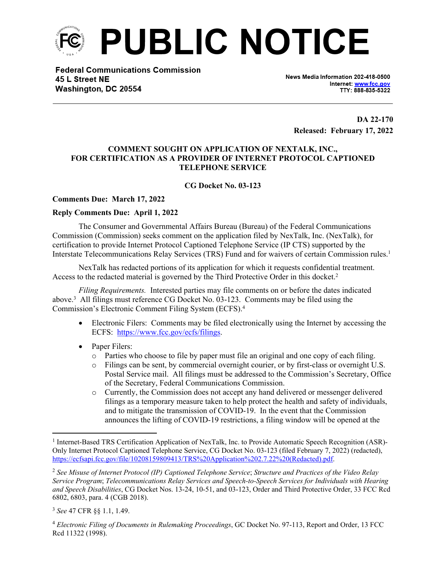

**Federal Communications Commission** 45 L Street NE Washington, DC 20554

News Media Information 202-418-0500 Internet: www.fcc.gov TTY: 888-835-5322

**DA 22-170 Released: February 17, 2022**

## **COMMENT SOUGHT ON APPLICATION OF NEXTALK, INC., FOR CERTIFICATION AS A PROVIDER OF INTERNET PROTOCOL CAPTIONED TELEPHONE SERVICE**

## **CG Docket No. 03-123**

## **Comments Due: March 17, 2022**

## **Reply Comments Due: April 1, 2022**

The Consumer and Governmental Affairs Bureau (Bureau) of the Federal Communications Commission (Commission) seeks comment on the application filed by NexTalk, Inc. (NexTalk), for certification to provide Internet Protocol Captioned Telephone Service (IP CTS) supported by the Interstate Telecommunications Relay Services (TRS) Fund and for waivers of certain Commission rules.<sup>1</sup>

NexTalk has redacted portions of its application for which it requests confidential treatment. Access to the redacted material is governed by the Third Protective Order in this docket.<sup>2</sup>

*Filing Requirements.* Interested parties may file comments on or before the dates indicated above.<sup>3</sup> All filings must reference CG Docket No. 03-123. Comments may be filed using the Commission's Electronic Comment Filing System (ECFS).<sup>4</sup>

- Electronic Filers: Comments may be filed electronically using the Internet by accessing the ECFS: [https://www.fcc.gov/ecfs/filings.](https://www.fcc.gov/ecfs/filings)
- Paper Filers:
	- o Parties who choose to file by paper must file an original and one copy of each filing.
	- o Filings can be sent, by commercial overnight courier, or by first-class or overnight U.S. Postal Service mail. All filings must be addressed to the Commission's Secretary, Office of the Secretary, Federal Communications Commission.
	- o Currently, the Commission does not accept any hand delivered or messenger delivered filings as a temporary measure taken to help protect the health and safety of individuals, and to mitigate the transmission of COVID-19. In the event that the Commission announces the lifting of COVID-19 restrictions, a filing window will be opened at the

<sup>&</sup>lt;sup>1</sup> Internet-Based TRS Certification Application of NexTalk, Inc. to Provide Automatic Speech Recognition (ASR)-Only Internet Protocol Captioned Telephone Service, CG Docket No. 03-123 (filed February 7, 2022) (redacted), [https://ecfsapi.fcc.gov/file/10208159809413/TRS%20Application%202.7.22%20\(Redacted\).pdf](https://ecfsapi.fcc.gov/file/10208159809413/TRS%20Application%202.7.22%20(Redacted).pdf).

<sup>2</sup> *See Misuse of Internet Protocol (IP) Captioned Telephone Service*; *Structure and Practices of the Video Relay Service Program*; *Telecommunications Relay Services and Speech-to-Speech Services for Individuals with Hearing and Speech Disabilities*, CG Docket Nos. 13-24, 10-51, and 03-123, Order and Third Protective Order, 33 FCC Rcd 6802, 6803, para. 4 (CGB 2018).

<sup>3</sup> *See* 47 CFR §§ 1.1, 1.49.

<sup>4</sup> *Electronic Filing of Documents in Rulemaking Proceedings*, GC Docket No. 97-113, Report and Order, 13 FCC Rcd 11322 (1998).